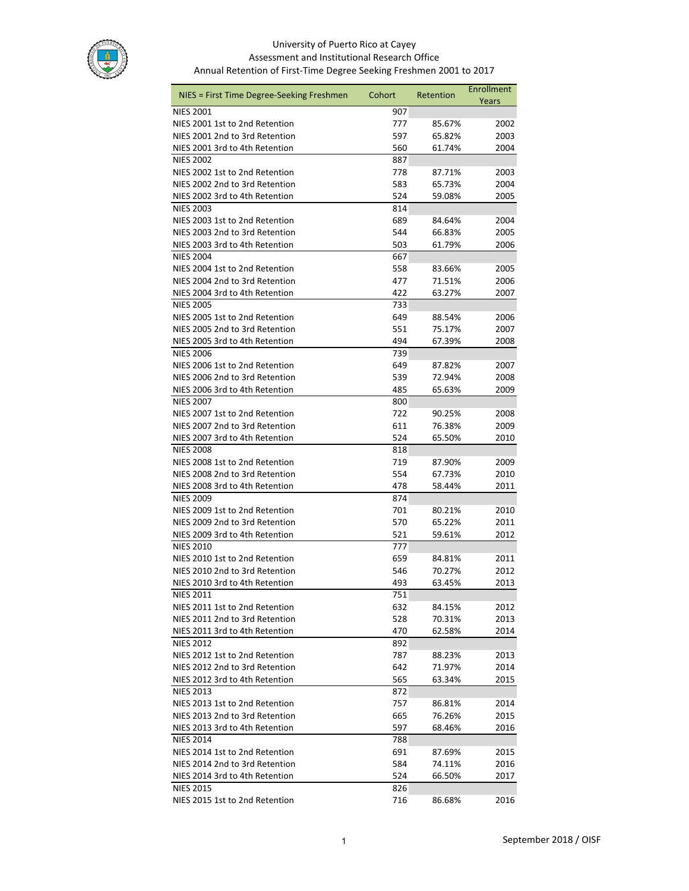

## University of Puerto Rico at Cayey Assessment and Institutional Research Office Annual Retention of First-Time Degree Seeking Freshmen 2001 to 2017

| NIES = First Time Degree-Seeking Freshmen          | Cohort     | Retention        | Enrollment   |
|----------------------------------------------------|------------|------------------|--------------|
|                                                    |            |                  | Years        |
| <b>NIES 2001</b><br>NIES 2001 1st to 2nd Retention | 907        |                  |              |
|                                                    | 777        | 85.67%           | 2002         |
| NIES 2001 2nd to 3rd Retention                     | 597        | 65.82%           | 2003         |
| NIES 2001 3rd to 4th Retention<br><b>NIES 2002</b> | 560        | 61.74%           | 2004         |
| NIES 2002 1st to 2nd Retention                     | 887        |                  |              |
| NIES 2002 2nd to 3rd Retention                     | 778<br>583 | 87.71%<br>65.73% | 2003<br>2004 |
| NIES 2002 3rd to 4th Retention                     | 524        | 59.08%           | 2005         |
| <b>NIES 2003</b>                                   | 814        |                  |              |
| NIES 2003 1st to 2nd Retention                     | 689        | 84.64%           | 2004         |
| NIES 2003 2nd to 3rd Retention                     | 544        | 66.83%           | 2005         |
| NIES 2003 3rd to 4th Retention                     | 503        | 61.79%           | 2006         |
| <b>NIES 2004</b>                                   | 667        |                  |              |
| NIES 2004 1st to 2nd Retention                     | 558        | 83.66%           | 2005         |
| NIES 2004 2nd to 3rd Retention                     | 477        | 71.51%           | 2006         |
| NIES 2004 3rd to 4th Retention                     | 422        | 63.27%           | 2007         |
| <b>NIES 2005</b>                                   | 733        |                  |              |
| NIES 2005 1st to 2nd Retention                     | 649        | 88.54%           | 2006         |
| NIES 2005 2nd to 3rd Retention                     | 551        | 75.17%           | 2007         |
| NIES 2005 3rd to 4th Retention                     | 494        | 67.39%           | 2008         |
| <b>NIES 2006</b>                                   | 739        |                  |              |
| NIES 2006 1st to 2nd Retention                     | 649        | 87.82%           | 2007         |
| NIES 2006 2nd to 3rd Retention                     | 539        | 72.94%           | 2008         |
| NIES 2006 3rd to 4th Retention                     | 485        | 65.63%           | 2009         |
| <b>NIES 2007</b>                                   | 800        |                  |              |
| NIES 2007 1st to 2nd Retention                     | 722        | 90.25%           | 2008         |
| NIES 2007 2nd to 3rd Retention                     | 611        | 76.38%           | 2009         |
| NIES 2007 3rd to 4th Retention                     | 524        | 65.50%           | 2010         |
| <b>NIES 2008</b>                                   | 818        |                  |              |
| NIES 2008 1st to 2nd Retention                     | 719        | 87.90%           | 2009         |
| NIES 2008 2nd to 3rd Retention                     | 554        | 67.73%           | 2010         |
| NIES 2008 3rd to 4th Retention                     | 478        | 58.44%           | 2011         |
| <b>NIES 2009</b>                                   | 874        |                  |              |
| NIES 2009 1st to 2nd Retention                     | 701        | 80.21%           | 2010         |
| NIES 2009 2nd to 3rd Retention                     | 570        | 65.22%           | 2011         |
| NIES 2009 3rd to 4th Retention                     | 521        | 59.61%           | 2012         |
| <b>NIES 2010</b>                                   | 777        |                  |              |
| NIES 2010 1st to 2nd Retention                     | 659        | 84.81%           | 2011         |
| NIES 2010 2nd to 3rd Retention                     | 546        | 70.27%           | 2012         |
| NIES 2010 3rd to 4th Retention                     | 493        | 63.45%           | 2013         |
| <b>NIES 2011</b>                                   | 751        |                  |              |
| NIES 2011 1st to 2nd Retention                     | 632        | 84.15%           | 2012         |
| NIES 2011 2nd to 3rd Retention                     | 528        | 70.31%           | 2013         |
| NIES 2011 3rd to 4th Retention                     | 470        | 62.58%           | 2014         |
| <b>NIES 2012</b>                                   | 892        |                  |              |
| NIES 2012 1st to 2nd Retention                     | 787        | 88.23%           | 2013         |
| NIES 2012 2nd to 3rd Retention                     | 642        | 71.97%           | 2014         |
| NIES 2012 3rd to 4th Retention                     | 565        | 63.34%           | 2015         |
| <b>NIES 2013</b>                                   | 872        |                  |              |
| NIES 2013 1st to 2nd Retention                     | 757        | 86.81%           | 2014         |
| NIES 2013 2nd to 3rd Retention                     | 665        | 76.26%           | 2015         |
| NIES 2013 3rd to 4th Retention                     | 597        | 68.46%           | 2016         |
| <b>NIES 2014</b>                                   | 788        |                  |              |
| NIES 2014 1st to 2nd Retention                     | 691        | 87.69%           | 2015         |
| NIES 2014 2nd to 3rd Retention                     | 584        | 74.11%           | 2016         |
| NIES 2014 3rd to 4th Retention                     | 524        | 66.50%           | 2017         |
| <b>NIES 2015</b>                                   | 826        |                  |              |
| NIES 2015 1st to 2nd Retention                     | 716        | 86.68%           | 2016         |